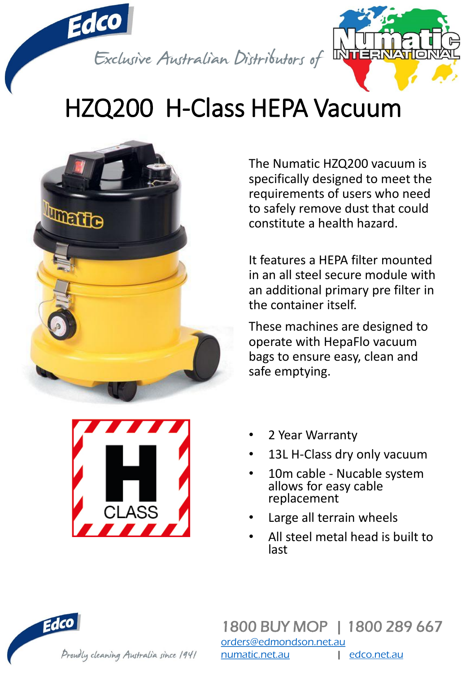

## HZQ200 H-Class HEPA Vacuum



The Numatic HZQ200 vacuum is specifically designed to meet the requirements of users who need to safely remove dust that could constitute a health hazard.

It features a HEPA filter mounted in an all steel secure module with an additional primary pre filter in the container itself.

These machines are designed to operate with HepaFlo vacuum bags to ensure easy, clean and safe emptying.



- 2 Year Warranty
- 13L H-Class dry only vacuum
- 10m cable Nucable system allows for easy cable replacement
- Large all terrain wheels
- All steel metal head is built to last

Edco Proudly cleaning Australia since 1941

1800 BUY MOP | 1800 289 667 [orders@edmondson.net.au](mailto:orders@edmondson.net.au) [numatic.net.au](http://www.numatic.net.au/) | [edco.net.au](http://www.edco.net.au/)